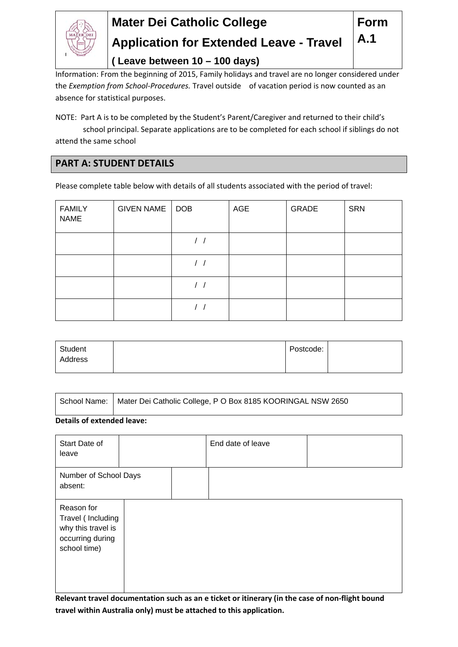

# **Mater Dei Catholic College Application for Extended Leave - Travel**

**Form** 

**A.1** 

**( Leave between 10 – 100 days)**

Information: From the beginning of 2015, Family holidays and travel are no longer considered under the *Exemption from School‐Procedures.* Travel outside of vacation period is now counted as an absence for statistical purposes.

NOTE: Part A is to be completed by the Student's Parent/Caregiver and returned to their child's school principal. Separate applications are to be completed for each school if siblings do not attend the same school

### **PART A: STUDENT DETAILS**

Please complete table below with details of all students associated with the period of travel:

| <b>FAMILY</b><br><b>NAME</b> | GIVEN NAME | DOB | AGE | GRADE | SRN |
|------------------------------|------------|-----|-----|-------|-----|
|                              |            |     |     |       |     |
|                              |            |     |     |       |     |
|                              |            |     |     |       |     |
|                              |            |     |     |       |     |

| Student | Postcode: |  |
|---------|-----------|--|
| Address |           |  |
|         |           |  |

| School Name:   Mater Dei Catholic College, P O Box 8185 KOORINGAL NSW 2650 |
|----------------------------------------------------------------------------|
|                                                                            |

#### **Details of extended leave:**

| Start Date of<br>leave                                                                    |  | End date of leave |  |
|-------------------------------------------------------------------------------------------|--|-------------------|--|
| Number of School Days<br>absent:                                                          |  |                   |  |
| Reason for<br>Travel (Including<br>why this travel is<br>occurring during<br>school time) |  |                   |  |

**Relevant travel documentation such as an e ticket or itinerary (in the case of non‐flight bound travel within Australia only) must be attached to this application.**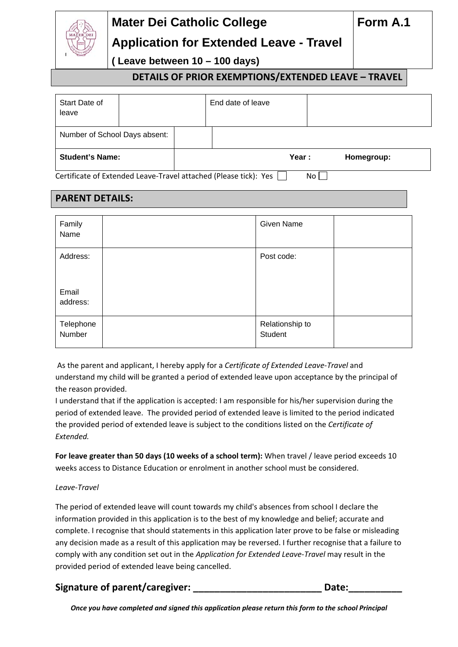# **Mater Dei Catholic College**

## **Application for Extended Leave - Travel**

**( Leave between 10 – 100 days)**

**DETAILS OF PRIOR EXEMPTIONS/EXTENDED LEAVE – TRAVEL** 

| Start Date of                 |  | End date of leave                                                |       |            |
|-------------------------------|--|------------------------------------------------------------------|-------|------------|
| leave                         |  |                                                                  |       |            |
| Number of School Days absent: |  |                                                                  |       |            |
| <b>Student's Name:</b>        |  |                                                                  | Year: | Homegroup: |
|                               |  | Certificate of Extended Leave-Travel attached (Please tick): Yes | No.   |            |

## **PARENT DETAILS:**

| Family<br>Name      | Given Name                 |  |
|---------------------|----------------------------|--|
| Address:            | Post code:                 |  |
| Email<br>address:   |                            |  |
| Telephone<br>Number | Relationship to<br>Student |  |

As the parent and applicant, I hereby apply for a *Certificate of Extended Leave‐Travel* and understand my child will be granted a period of extended leave upon acceptance by the principal of the reason provided.

I understand that if the application is accepted: I am responsible for his/her supervision during the period of extended leave. The provided period of extended leave is limited to the period indicated the provided period of extended leave is subject to the conditions listed on the *Certificate of Extended.*

**For leave greater than 50 days (10 weeks of a school term):** When travel / leave period exceeds 10 weeks access to Distance Education or enrolment in another school must be considered.

### *Leave‐Travel*

The period of extended leave will count towards my child's absences from school I declare the information provided in this application is to the best of my knowledge and belief; accurate and complete. I recognise that should statements in this application later prove to be false or misleading any decision made as a result of this application may be reversed. I further recognise that a failure to comply with any condition set out in the *Application for Extended Leave‐Travel* may result in the provided period of extended leave being cancelled.

## **Signature of parent/caregiver: \_\_\_\_\_\_\_\_\_\_\_\_\_\_\_\_\_\_\_\_\_\_\_\_ Date:\_\_\_\_\_\_\_\_\_\_**

*Once you have completed and signed this application please return this form to the school Principal*